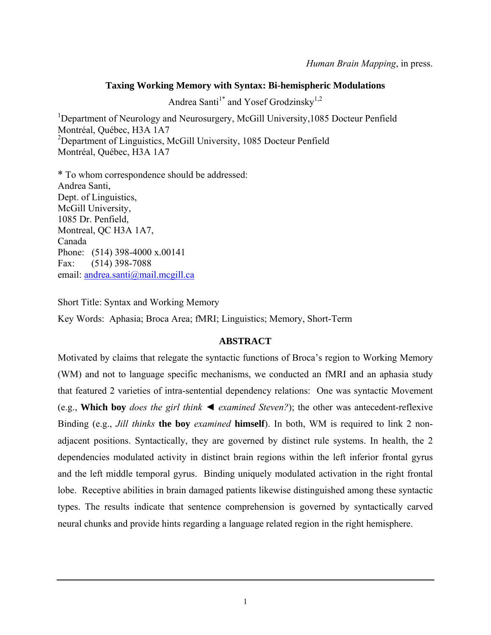# **Taxing Working Memory with Syntax: Bi-hemispheric Modulations**

Andrea Santi<sup>1\*</sup> and Yosef Grodzinsky<sup>1,2</sup>

<sup>1</sup>Department of Neurology and Neurosurgery, McGill University, 1085 Docteur Penfield Montréal, Québec, H3A 1A7 <sup>2</sup>Department of Linguistics, McGill University, 1085 Docteur Penfield Montréal, Québec, H3A 1A7

\* To whom correspondence should be addressed: Andrea Santi, Dept. of Linguistics, McGill University, 1085 Dr. Penfield, Montreal, QC H3A 1A7, Canada Phone: (514) 398-4000 x.00141 Fax: (514) 398-7088 email: andrea.santi@mail.mcgill.ca

Short Title: Syntax and Working Memory

Key Words: Aphasia; Broca Area; fMRI; Linguistics; Memory, Short-Term

## **ABSTRACT**

Motivated by claims that relegate the syntactic functions of Broca's region to Working Memory (WM) and not to language specific mechanisms, we conducted an fMRI and an aphasia study that featured 2 varieties of intra-sentential dependency relations: One was syntactic Movement (e.g., **Which boy** *does the girl think* ◄ *examined Steven?*); the other was antecedent-reflexive Binding (e.g., *Jill thinks* **the boy** *examined* **himself**). In both, WM is required to link 2 nonadjacent positions. Syntactically, they are governed by distinct rule systems. In health, the 2 dependencies modulated activity in distinct brain regions within the left inferior frontal gyrus and the left middle temporal gyrus. Binding uniquely modulated activation in the right frontal lobe. Receptive abilities in brain damaged patients likewise distinguished among these syntactic types. The results indicate that sentence comprehension is governed by syntactically carved neural chunks and provide hints regarding a language related region in the right hemisphere.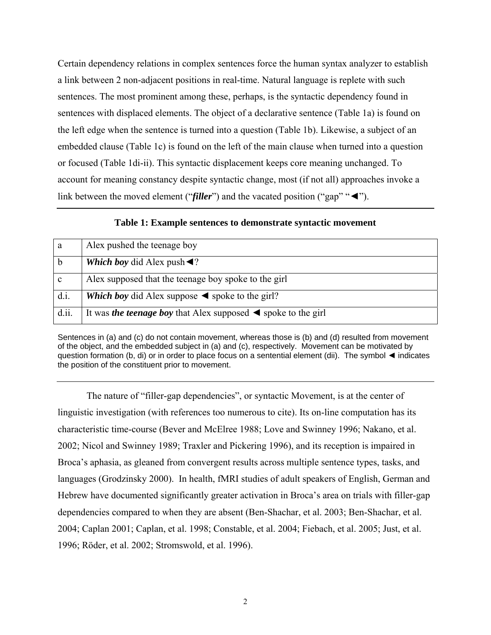Certain dependency relations in complex sentences force the human syntax analyzer to establish a link between 2 non-adjacent positions in real-time. Natural language is replete with such sentences. The most prominent among these, perhaps, is the syntactic dependency found in sentences with displaced elements. The object of a declarative sentence (Table 1a) is found on the left edge when the sentence is turned into a question (Table 1b). Likewise, a subject of an embedded clause (Table 1c) is found on the left of the main clause when turned into a question or focused (Table 1di-ii). This syntactic displacement keeps core meaning unchanged. To account for meaning constancy despite syntactic change, most (if not all) approaches invoke a link between the moved element ("*filler*") and the vacated position ("gap" "*◄*").

| a            | Alex pushed the teenage boy                                                        |
|--------------|------------------------------------------------------------------------------------|
| $\mathbf b$  | Which boy did Alex push $\blacktriangleleft$ ?                                     |
| $\mathbf{c}$ | Alex supposed that the teenage boy spoke to the girl                               |
| d.i.         | Which boy did Alex suppose $\blacktriangleleft$ spoke to the girl?                 |
| d.ii.        | It was <i>the teenage boy</i> that Alex supposed $\triangleleft$ spoke to the girl |

Sentences in (a) and (c) do not contain movement, whereas those is (b) and (d) resulted from movement of the object, and the embedded subject in (a) and (c), respectively. Movement can be motivated by question formation (b, di) or in order to place focus on a sentential element (dii). The symbol *◄* indicates the position of the constituent prior to movement.

The nature of "filler-gap dependencies", or syntactic Movement, is at the center of linguistic investigation (with references too numerous to cite). Its on-line computation has its characteristic time-course (Bever and McElree 1988; Love and Swinney 1996; Nakano, et al. 2002; Nicol and Swinney 1989; Traxler and Pickering 1996), and its reception is impaired in Broca's aphasia, as gleaned from convergent results across multiple sentence types, tasks, and languages (Grodzinsky 2000). In health, fMRI studies of adult speakers of English, German and Hebrew have documented significantly greater activation in Broca's area on trials with filler-gap dependencies compared to when they are absent (Ben-Shachar, et al. 2003; Ben-Shachar, et al. 2004; Caplan 2001; Caplan, et al. 1998; Constable, et al. 2004; Fiebach, et al. 2005; Just, et al. 1996; Röder, et al. 2002; Stromswold, et al. 1996).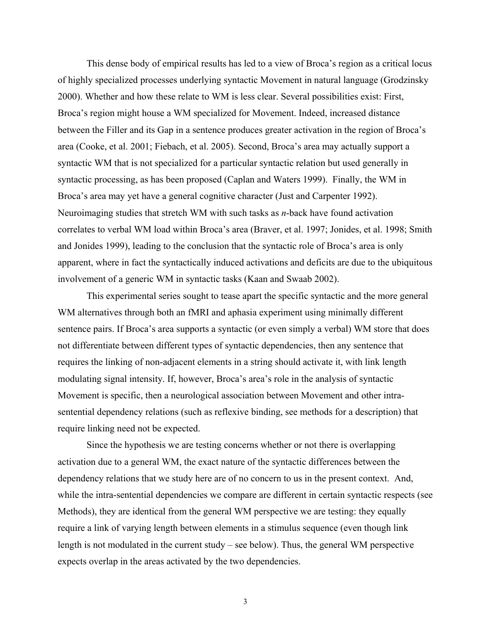This dense body of empirical results has led to a view of Broca's region as a critical locus of highly specialized processes underlying syntactic Movement in natural language (Grodzinsky 2000). Whether and how these relate to WM is less clear. Several possibilities exist: First, Broca's region might house a WM specialized for Movement. Indeed, increased distance between the Filler and its Gap in a sentence produces greater activation in the region of Broca's area (Cooke, et al. 2001; Fiebach, et al. 2005). Second, Broca's area may actually support a syntactic WM that is not specialized for a particular syntactic relation but used generally in syntactic processing, as has been proposed (Caplan and Waters 1999). Finally, the WM in Broca's area may yet have a general cognitive character (Just and Carpenter 1992). Neuroimaging studies that stretch WM with such tasks as *n*-back have found activation correlates to verbal WM load within Broca's area (Braver, et al. 1997; Jonides, et al. 1998; Smith and Jonides 1999), leading to the conclusion that the syntactic role of Broca's area is only apparent, where in fact the syntactically induced activations and deficits are due to the ubiquitous involvement of a generic WM in syntactic tasks (Kaan and Swaab 2002).

This experimental series sought to tease apart the specific syntactic and the more general WM alternatives through both an fMRI and aphasia experiment using minimally different sentence pairs. If Broca's area supports a syntactic (or even simply a verbal) WM store that does not differentiate between different types of syntactic dependencies, then any sentence that requires the linking of non-adjacent elements in a string should activate it, with link length modulating signal intensity. If, however, Broca's area's role in the analysis of syntactic Movement is specific, then a neurological association between Movement and other intrasentential dependency relations (such as reflexive binding, see methods for a description) that require linking need not be expected.

Since the hypothesis we are testing concerns whether or not there is overlapping activation due to a general WM, the exact nature of the syntactic differences between the dependency relations that we study here are of no concern to us in the present context. And, while the intra-sentential dependencies we compare are different in certain syntactic respects (see Methods), they are identical from the general WM perspective we are testing: they equally require a link of varying length between elements in a stimulus sequence (even though link length is not modulated in the current study – see below). Thus, the general WM perspective expects overlap in the areas activated by the two dependencies.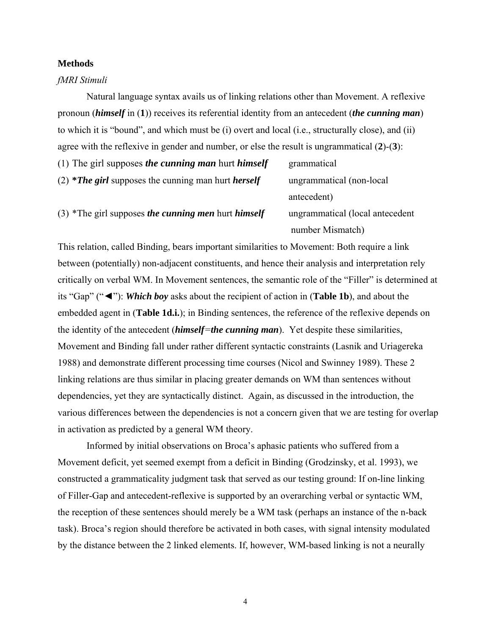### **Methods**

### *fMRI Stimuli*

Natural language syntax avails us of linking relations other than Movement. A reflexive pronoun (*himself* in (**1**)) receives its referential identity from an antecedent (*the cunning man*) to which it is "bound", and which must be (i) overt and local (i.e., structurally close), and (ii) agree with the reflexive in gender and number, or else the result is ungrammatical (**2**)-(**3**):

| (1) The girl supposes the cunning man hurt himself    | grammatical                     |
|-------------------------------------------------------|---------------------------------|
| $(2)$ *The girl supposes the cunning man hurt herself | ungrammatical (non-local        |
|                                                       | antecedent)                     |
| $(3)$ *The girl supposes the cunning men hurt himself | ungrammatical (local antecedent |
|                                                       | number Mismatch)                |

This relation, called Binding, bears important similarities to Movement: Both require a link between (potentially) non-adjacent constituents, and hence their analysis and interpretation rely critically on verbal WM. In Movement sentences, the semantic role of the "Filler" is determined at its "Gap" ("*◄*"): *Which boy* asks about the recipient of action in (**Table 1b**), and about the embedded agent in (**Table 1d.i.**); in Binding sentences, the reference of the reflexive depends on the identity of the antecedent (*himself=the cunning man*). Yet despite these similarities, Movement and Binding fall under rather different syntactic constraints (Lasnik and Uriagereka 1988) and demonstrate different processing time courses (Nicol and Swinney 1989). These 2 linking relations are thus similar in placing greater demands on WM than sentences without dependencies, yet they are syntactically distinct. Again, as discussed in the introduction, the various differences between the dependencies is not a concern given that we are testing for overlap in activation as predicted by a general WM theory.

Informed by initial observations on Broca's aphasic patients who suffered from a Movement deficit, yet seemed exempt from a deficit in Binding (Grodzinsky, et al. 1993), we constructed a grammaticality judgment task that served as our testing ground: If on-line linking of Filler-Gap and antecedent-reflexive is supported by an overarching verbal or syntactic WM, the reception of these sentences should merely be a WM task (perhaps an instance of the n-back task). Broca's region should therefore be activated in both cases, with signal intensity modulated by the distance between the 2 linked elements. If, however, WM-based linking is not a neurally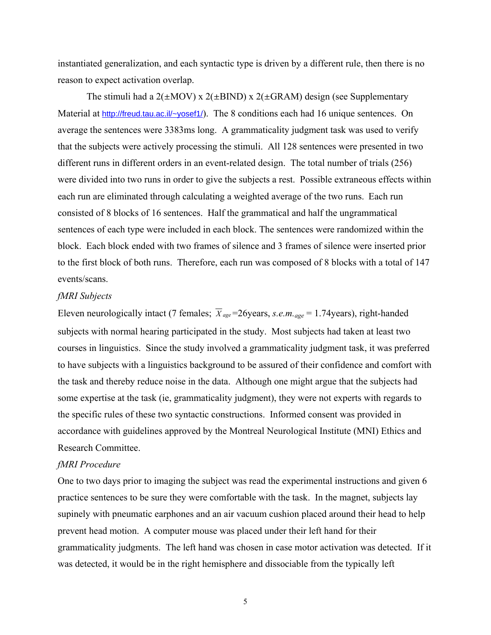instantiated generalization, and each syntactic type is driven by a different rule, then there is no reason to expect activation overlap.

The stimuli had a  $2(\pm\text{MOV})$  x  $2(\pm\text{BIND})$  x  $2(\pm\text{GRAM})$  design (see Supplementary Material at http://freud.tau.ac.il/~yosef1/). The 8 conditions each had 16 unique sentences. On average the sentences were 3383ms long. A grammaticality judgment task was used to verify that the subjects were actively processing the stimuli. All 128 sentences were presented in two different runs in different orders in an event-related design. The total number of trials (256) were divided into two runs in order to give the subjects a rest. Possible extraneous effects within each run are eliminated through calculating a weighted average of the two runs.Each run consisted of 8 blocks of 16 sentences. Half the grammatical and half the ungrammatical sentences of each type were included in each block. The sentences were randomized within the block. Each block ended with two frames of silence and 3 frames of silence were inserted prior to the first block of both runs. Therefore, each run was composed of 8 blocks with a total of 147 events/scans.

### *fMRI Subjects*

Eleven neurologically intact (7 females;  $\overline{X}_{\text{age}} = 26$ years, *s.e.m.*<sub>age</sub> = 1.74years), right-handed subjects with normal hearing participated in the study. Most subjects had taken at least two courses in linguistics. Since the study involved a grammaticality judgment task, it was preferred to have subjects with a linguistics background to be assured of their confidence and comfort with the task and thereby reduce noise in the data. Although one might argue that the subjects had some expertise at the task (ie, grammaticality judgment), they were not experts with regards to the specific rules of these two syntactic constructions. Informed consent was provided in accordance with guidelines approved by the Montreal Neurological Institute (MNI) Ethics and Research Committee.

## *fMRI Procedure*

One to two days prior to imaging the subject was read the experimental instructions and given 6 practice sentences to be sure they were comfortable with the task. In the magnet, subjects lay supinely with pneumatic earphones and an air vacuum cushion placed around their head to help prevent head motion. A computer mouse was placed under their left hand for their grammaticality judgments. The left hand was chosen in case motor activation was detected. If it was detected, it would be in the right hemisphere and dissociable from the typically left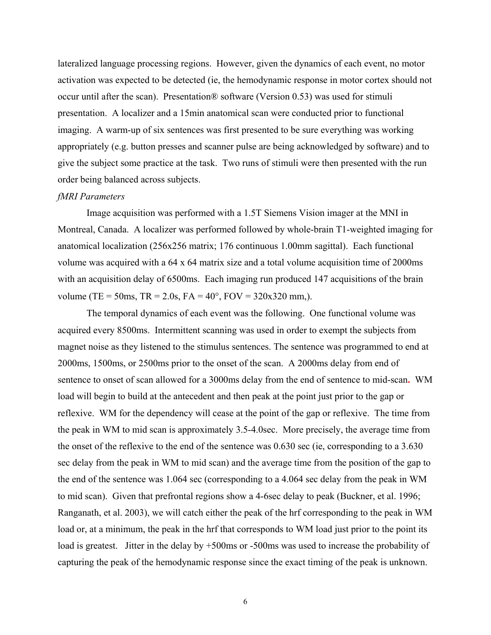lateralized language processing regions. However, given the dynamics of each event, no motor activation was expected to be detected (ie, the hemodynamic response in motor cortex should not occur until after the scan). Presentation® software (Version 0.53) was used for stimuli presentation. A localizer and a 15min anatomical scan were conducted prior to functional imaging. A warm-up of six sentences was first presented to be sure everything was working appropriately (e.g. button presses and scanner pulse are being acknowledged by software) and to give the subject some practice at the task. Two runs of stimuli were then presented with the run order being balanced across subjects.

#### *fMRI Parameters*

Image acquisition was performed with a 1.5T Siemens Vision imager at the MNI in Montreal, Canada. A localizer was performed followed by whole-brain T1-weighted imaging for anatomical localization (256x256 matrix; 176 continuous 1.00mm sagittal). Each functional volume was acquired with a 64 x 64 matrix size and a total volume acquisition time of 2000ms with an acquisition delay of 6500ms. Each imaging run produced 147 acquisitions of the brain volume (TE = 50ms, TR = 2.0s, FA =  $40^{\circ}$ , FOV =  $320x320$  mm,).

The temporal dynamics of each event was the following. One functional volume was acquired every 8500ms. Intermittent scanning was used in order to exempt the subjects from magnet noise as they listened to the stimulus sentences. The sentence was programmed to end at 2000ms, 1500ms, or 2500ms prior to the onset of the scan. A 2000ms delay from end of sentence to onset of scan allowed for a 3000ms delay from the end of sentence to mid-scan**.** WM load will begin to build at the antecedent and then peak at the point just prior to the gap or reflexive. WM for the dependency will cease at the point of the gap or reflexive. The time from the peak in WM to mid scan is approximately 3.5-4.0sec. More precisely, the average time from the onset of the reflexive to the end of the sentence was 0.630 sec (ie, corresponding to a 3.630 sec delay from the peak in WM to mid scan) and the average time from the position of the gap to the end of the sentence was 1.064 sec (corresponding to a 4.064 sec delay from the peak in WM to mid scan). Given that prefrontal regions show a 4-6sec delay to peak (Buckner, et al. 1996; Ranganath, et al. 2003), we will catch either the peak of the hrf corresponding to the peak in WM load or, at a minimum, the peak in the hrf that corresponds to WM load just prior to the point its load is greatest. Jitter in the delay by  $+500$ ms or  $-500$ ms was used to increase the probability of capturing the peak of the hemodynamic response since the exact timing of the peak is unknown.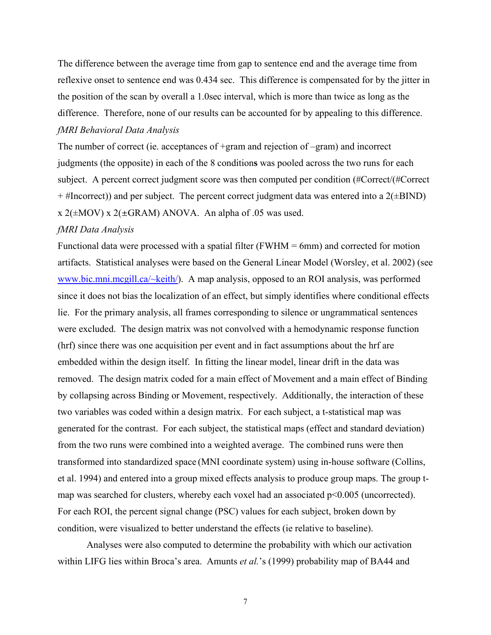The difference between the average time from gap to sentence end and the average time from reflexive onset to sentence end was 0.434 sec. This difference is compensated for by the jitter in the position of the scan by overall a 1.0sec interval, which is more than twice as long as the difference. Therefore, none of our results can be accounted for by appealing to this difference. *fMRI Behavioral Data Analysis* 

The number of correct (ie. acceptances of +gram and rejection of –gram) and incorrect judgments (the opposite) in each of the 8 condition**s** was pooled across the two runs for each subject. A percent correct judgment score was then computed per condition (#Correct/(#Correct  $+$  #Incorrect)) and per subject. The percent correct judgment data was entered into a  $2(\pm BIND)$ x  $2(\pm MOV)$  x  $2(\pm GRAM)$  ANOVA. An alpha of .05 was used.

### *fMRI Data Analysis*

Functional data were processed with a spatial filter (FWHM = 6mm) and corrected for motion artifacts. Statistical analyses were based on the General Linear Model (Worsley, et al. 2002) (see www.bic.mni.mcgill.ca/~keith/). A map analysis, opposed to an ROI analysis, was performed since it does not bias the localization of an effect, but simply identifies where conditional effects lie. For the primary analysis, all frames corresponding to silence or ungrammatical sentences were excluded. The design matrix was not convolved with a hemodynamic response function (hrf) since there was one acquisition per event and in fact assumptions about the hrf are embedded within the design itself. In fitting the linear model, linear drift in the data was removed. The design matrix coded for a main effect of Movement and a main effect of Binding by collapsing across Binding or Movement, respectively. Additionally, the interaction of these two variables was coded within a design matrix. For each subject, a t-statistical map was generated for the contrast. For each subject, the statistical maps (effect and standard deviation) from the two runs were combined into a weighted average. The combined runs were then transformed into standardized space (MNI coordinate system) using in-house software (Collins, et al. 1994) and entered into a group mixed effects analysis to produce group maps. The group tmap was searched for clusters, whereby each voxel had an associated p<0.005 (uncorrected). For each ROI, the percent signal change (PSC) values for each subject, broken down by condition, were visualized to better understand the effects (ie relative to baseline).

 Analyses were also computed to determine the probability with which our activation within LIFG lies within Broca's area. Amunts *et al.*'s (1999) probability map of BA44 and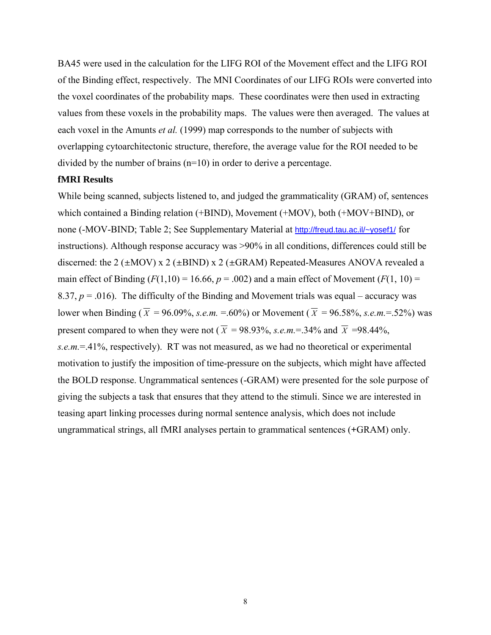BA45 were used in the calculation for the LIFG ROI of the Movement effect and the LIFG ROI of the Binding effect, respectively. The MNI Coordinates of our LIFG ROIs were converted into the voxel coordinates of the probability maps. These coordinates were then used in extracting values from these voxels in the probability maps. The values were then averaged. The values at each voxel in the Amunts *et al.* (1999) map corresponds to the number of subjects with overlapping cytoarchitectonic structure, therefore, the average value for the ROI needed to be divided by the number of brains (n=10) in order to derive a percentage.

## **fMRI Results**

While being scanned, subjects listened to, and judged the grammaticality (GRAM) of, sentences which contained a Binding relation (+BIND), Movement (+MOV), both (+MOV+BIND), or none (-MOV-BIND; Table 2; See Supplementary Material at http://freud.tau.ac.il/~yosef1/ for instructions). Although response accuracy was >90% in all conditions, differences could still be discerned: the 2 ( $\pm$ MOV) x 2 ( $\pm$ BIND) x 2 ( $\pm$ GRAM) Repeated-Measures ANOVA revealed a main effect of Binding  $(F(1,10) = 16.66, p = .002)$  and a main effect of Movement  $(F(1, 10) =$ 8.37,  $p = 0.016$ ). The difficulty of the Binding and Movement trials was equal – accuracy was lower when Binding ( $\bar{X} = 96.09\%$ , *s.e.m.* = .60%) or Movement ( $\bar{X} = 96.58\%$ , *s.e.m.* = .52%) was present compared to when they were not ( $\overline{X}$  = 98.93%, *s.e.m.*=.34% and  $\overline{X}$  = 98.44%, *s.e.m.*=.41%, respectively). RT was not measured, as we had no theoretical or experimental motivation to justify the imposition of time-pressure on the subjects, which might have affected the BOLD response. Ungrammatical sentences (-GRAM) were presented for the sole purpose of giving the subjects a task that ensures that they attend to the stimuli. Since we are interested in teasing apart linking processes during normal sentence analysis, which does not include ungrammatical strings, all fMRI analyses pertain to grammatical sentences (**+**GRAM) only.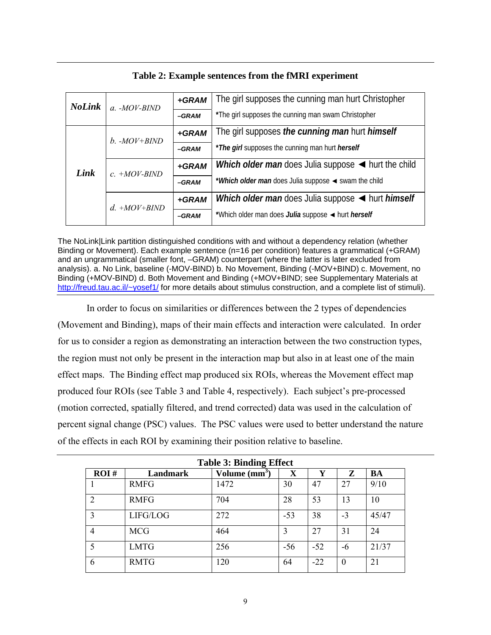| <b>NoLink</b> | $a. -MOV-BIND$    | +GRAM   | The girl supposes the cunning man hurt Christopher                     |
|---------------|-------------------|---------|------------------------------------------------------------------------|
|               |                   | $-GRAM$ | *The girl supposes the cunning man swam Christopher                    |
|               | $b. -MOV+BIND$    | +GRAM   | The girl supposes the cunning man hurt himself                         |
|               |                   | $-GRAM$ | * The girl supposes the cunning man hurt herself                       |
| Link          | $c. + MOV-BIND$   | +GRAM   | Which older man does Julia suppose $\blacktriangleleft$ hurt the child |
|               |                   | $-GRAM$ | * Which older man does Julia suppose < swam the child                  |
|               | $d. + MOV + BIND$ | +GRAM   | Which older man does Julia suppose $\blacktriangleleft$ hurt himself   |
|               |                   | $-GRAM$ | *Which older man does <i>Julia</i> suppose < hurt <i>herself</i>       |

**Table 2: Example sentences from the fMRI experiment**

The NoLink|Link partition distinguished conditions with and without a dependency relation (whether Binding or Movement). Each example sentence (n=16 per condition) features a grammatical (+GRAM) and an ungrammatical (smaller font, –GRAM) counterpart (where the latter is later excluded from analysis). a. No Link, baseline (-MOV-BIND) b. No Movement, Binding (-MOV+BIND) c. Movement, no Binding (+MOV-BIND) d. Both Movement and Binding (+MOV+BIND; see Supplementary Materials at http://freud.tau.ac.il/~yosef1/ for more details about stimulus construction, and a complete list of stimuli).

In order to focus on similarities or differences between the 2 types of dependencies (Movement and Binding), maps of their main effects and interaction were calculated. In order for us to consider a region as demonstrating an interaction between the two construction types, the region must not only be present in the interaction map but also in at least one of the main effect maps. The Binding effect map produced six ROIs, whereas the Movement effect map produced four ROIs (see Table 3 and Table 4, respectively). Each subject's pre-processed (motion corrected, spatially filtered, and trend corrected) data was used in the calculation of percent signal change (PSC) values. The PSC values were used to better understand the nature of the effects in each ROI by examining their position relative to baseline.

| <b>Table 3: Binding Effect</b> |             |                           |       |       |          |       |
|--------------------------------|-------------|---------------------------|-------|-------|----------|-------|
| ROI#                           | Landmark    | Volume (mm <sup>3</sup> ) | X     | Y     | Z        | BA    |
|                                | <b>RMFG</b> | 1472                      | 30    | 47    | 27       | 9/10  |
| $\overline{2}$                 | <b>RMFG</b> | 704                       | 28    | 53    | 13       | 10    |
| 3                              | LIFG/LOG    | 272                       | $-53$ | 38    | $-3$     | 45/47 |
| $\overline{4}$                 | <b>MCG</b>  | 464                       | 3     | 27    | 31       | 24    |
| 5                              | <b>LMTG</b> | 256                       | $-56$ | $-52$ | -6       | 21/37 |
| 6                              | <b>RMTG</b> | 120                       | 64    | $-22$ | $\theta$ | 21    |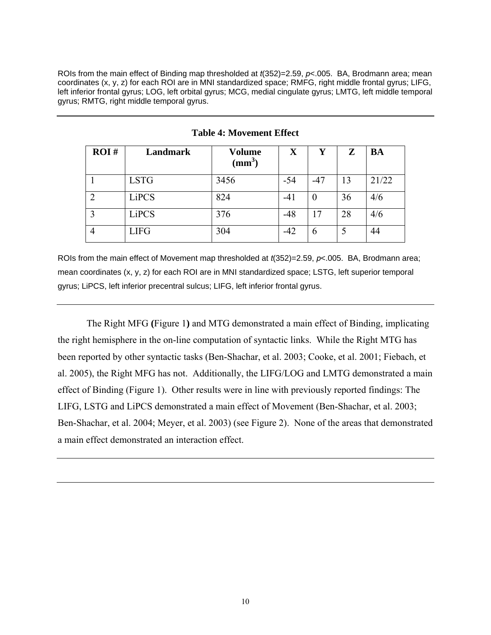ROIs from the main effect of Binding map thresholded at *t*(352)=2.59, *p*<.005. BA, Brodmann area; mean coordinates (x, y, z) for each ROI are in MNI standardized space; RMFG, right middle frontal gyrus; LIFG, left inferior frontal gyrus; LOG, left orbital gyrus; MCG, medial cingulate gyrus; LMTG, left middle temporal gyrus; RMTG, right middle temporal gyrus.

| ROI# | Landmark     | <b>Volume</b><br>$\textbf{(mm)}^3$ | X     | Y        | $\mathbf{Z}$ | <b>BA</b> |
|------|--------------|------------------------------------|-------|----------|--------------|-----------|
|      | <b>LSTG</b>  | 3456                               | $-54$ | $-47$    | 13           | 21/22     |
|      | <b>LiPCS</b> | 824                                | $-41$ | $\theta$ | 36           | 4/6       |
|      | <b>LiPCS</b> | 376                                | $-48$ | 17       | 28           | 4/6       |
| 4    | <b>LIFG</b>  | 304                                | $-42$ | 6        | 5            | 44        |

**Table 4: Movement Effect** 

ROIs from the main effect of Movement map thresholded at *t*(352)=2.59, *p*<.005. BA, Brodmann area; mean coordinates (x, y, z) for each ROI are in MNI standardized space; LSTG, left superior temporal gyrus; LiPCS, left inferior precentral sulcus; LIFG, left inferior frontal gyrus.

The Right MFG **(**Figure 1**)** and MTG demonstrated a main effect of Binding, implicating the right hemisphere in the on-line computation of syntactic links. While the Right MTG has been reported by other syntactic tasks (Ben-Shachar, et al. 2003; Cooke, et al. 2001; Fiebach, et al. 2005), the Right MFG has not. Additionally, the LIFG/LOG and LMTG demonstrated a main effect of Binding (Figure 1). Other results were in line with previously reported findings: The LIFG, LSTG and LiPCS demonstrated a main effect of Movement (Ben-Shachar, et al. 2003; Ben-Shachar, et al. 2004; Meyer, et al. 2003) (see Figure 2). None of the areas that demonstrated a main effect demonstrated an interaction effect.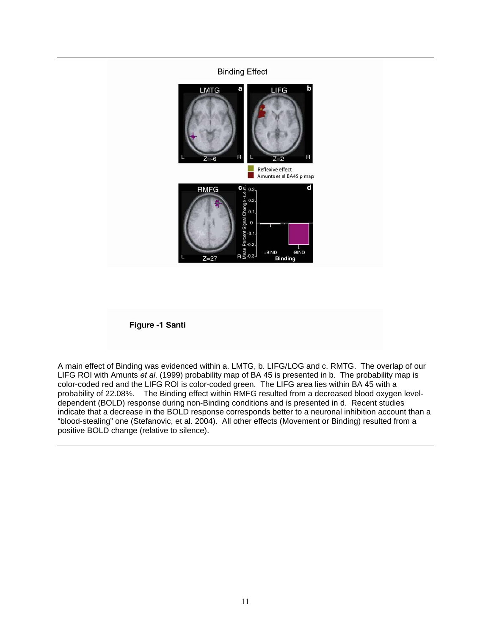

Figure -1 Santi

A main effect of Binding was evidenced within a. LMTG, b. LIFG/LOG and c. RMTG. The overlap of our LIFG ROI with Amunts *et al.* (1999) probability map of BA 45 is presented in b. The probability map is color-coded red and the LIFG ROI is color-coded green. The LIFG area lies within BA 45 with a probability of 22.08%. The Binding effect within RMFG resulted from a decreased blood oxygen leveldependent (BOLD) response during non-Binding conditions and is presented in d. Recent studies indicate that a decrease in the BOLD response corresponds better to a neuronal inhibition account than a "blood-stealing" one (Stefanovic, et al. 2004). All other effects (Movement or Binding) resulted from a positive BOLD change (relative to silence).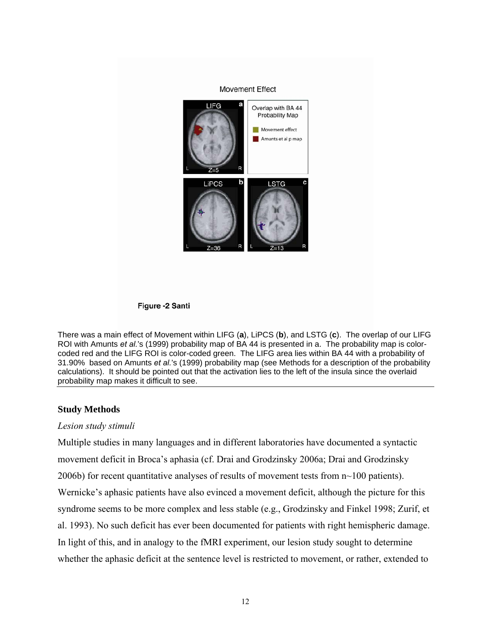



There was a main effect of Movement within LIFG (**a**), LiPCS (**b**), and LSTG (**c**). The overlap of our LIFG ROI with Amunts *et al.*'s (1999) probability map of BA 44 is presented in a. The probability map is colorcoded red and the LIFG ROI is color-coded green. The LIFG area lies within BA 44 with a probability of 31.90% based on Amunts *et al.*'s (1999) probability map (see Methods for a description of the probability calculations). It should be pointed out that the activation lies to the left of the insula since the overlaid probability map makes it difficult to see.

## **Study Methods**

### *Lesion study stimuli*

Multiple studies in many languages and in different laboratories have documented a syntactic movement deficit in Broca's aphasia (cf. Drai and Grodzinsky 2006a; Drai and Grodzinsky 2006b) for recent quantitative analyses of results of movement tests from n~100 patients). Wernicke's aphasic patients have also evinced a movement deficit, although the picture for this syndrome seems to be more complex and less stable (e.g., Grodzinsky and Finkel 1998; Zurif, et al. 1993). No such deficit has ever been documented for patients with right hemispheric damage. In light of this, and in analogy to the fMRI experiment, our lesion study sought to determine whether the aphasic deficit at the sentence level is restricted to movement, or rather, extended to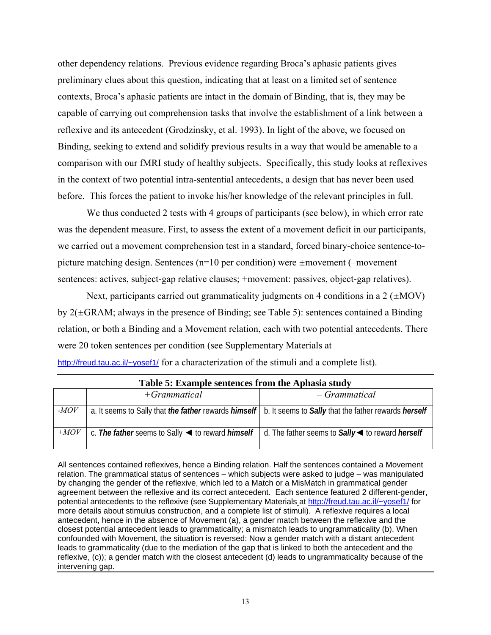other dependency relations. Previous evidence regarding Broca's aphasic patients gives preliminary clues about this question, indicating that at least on a limited set of sentence contexts, Broca's aphasic patients are intact in the domain of Binding, that is, they may be capable of carrying out comprehension tasks that involve the establishment of a link between a reflexive and its antecedent (Grodzinsky, et al. 1993). In light of the above, we focused on Binding, seeking to extend and solidify previous results in a way that would be amenable to a comparison with our fMRI study of healthy subjects. Specifically, this study looks at reflexives in the context of two potential intra-sentential antecedents, a design that has never been used before. This forces the patient to invoke his/her knowledge of the relevant principles in full.

We thus conducted 2 tests with 4 groups of participants (see below), in which error rate was the dependent measure. First, to assess the extent of a movement deficit in our participants, we carried out a movement comprehension test in a standard, forced binary-choice sentence-topicture matching design. Sentences ( $n=10$  per condition) were  $\pm$ movement (–movement sentences: actives, subject-gap relative clauses; +movement: passives, object-gap relatives).

Next, participants carried out grammaticality judgments on 4 conditions in a  $2 (\pm MOV)$ by  $2(\pm GRAM)$ ; always in the presence of Binding; see Table 5): sentences contained a Binding relation, or both a Binding and a Movement relation, each with two potential antecedents. There were 20 token sentences per condition (see Supplementary Materials at

| Table 5: Example sentences from the Aphasia study |                                                                                                                                                |               |  |  |  |
|---------------------------------------------------|------------------------------------------------------------------------------------------------------------------------------------------------|---------------|--|--|--|
|                                                   | $+Grammatical$                                                                                                                                 | – Grammatical |  |  |  |
| $-MOV$                                            | a. It seems to Sally that <i>the father</i> rewards <i>himself</i>   b. It seems to Sally that the father rewards <i>herself</i>               |               |  |  |  |
| $+MOV$                                            | c. The father seems to Sally $\blacktriangleleft$ to reward himself $\mid$ d. The father seems to Sally $\blacktriangleleft$ to reward herself |               |  |  |  |

http://freud.tau.ac.il/~yosef1/ for a characterization of the stimuli and a complete list).

All sentences contained reflexives, hence a Binding relation. Half the sentences contained a Movement relation. The grammatical status of sentences – which subjects were asked to judge – was manipulated by changing the gender of the reflexive, which led to a Match or a MisMatch in grammatical gender agreement between the reflexive and its correct antecedent. Each sentence featured 2 different-gender, potential antecedents to the reflexive (see Supplementary Materials at http://freud.tau.ac.il/~yosef1/ for more details about stimulus construction, and a complete list of stimuli). A reflexive requires a local antecedent, hence in the absence of Movement (a), a gender match between the reflexive and the closest potential antecedent leads to grammaticality; a mismatch leads to ungrammaticality (b). When confounded with Movement, the situation is reversed: Now a gender match with a distant antecedent leads to grammaticality (due to the mediation of the gap that is linked to both the antecedent and the reflexive, (c)); a gender match with the closest antecedent (d) leads to ungrammaticality because of the intervening gap.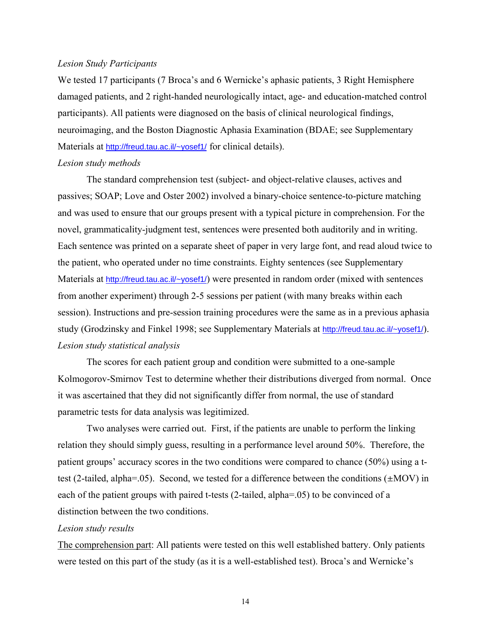### *Lesion Study Participants*

We tested 17 participants (7 Broca's and 6 Wernicke's aphasic patients, 3 Right Hemisphere damaged patients, and 2 right-handed neurologically intact, age- and education-matched control participants). All patients were diagnosed on the basis of clinical neurological findings, neuroimaging, and the Boston Diagnostic Aphasia Examination (BDAE; see Supplementary Materials at http://freud.tau.ac.il/~yosef1/ for clinical details).

### *Lesion study methods*

The standard comprehension test (subject- and object-relative clauses, actives and passives; SOAP; Love and Oster 2002) involved a binary-choice sentence-to-picture matching and was used to ensure that our groups present with a typical picture in comprehension. For the novel, grammaticality-judgment test, sentences were presented both auditorily and in writing. Each sentence was printed on a separate sheet of paper in very large font, and read aloud twice to the patient, who operated under no time constraints. Eighty sentences (see Supplementary Materials at http://freud.tau.ac.il/~yosef1/) were presented in random order (mixed with sentences from another experiment) through 2-5 sessions per patient (with many breaks within each session). Instructions and pre-session training procedures were the same as in a previous aphasia study (Grodzinsky and Finkel 1998; see Supplementary Materials at http://freud.tau.ac.il/~yosef1/). *Lesion study statistical analysis* 

The scores for each patient group and condition were submitted to a one-sample Kolmogorov-Smirnov Test to determine whether their distributions diverged from normal. Once it was ascertained that they did not significantly differ from normal, the use of standard parametric tests for data analysis was legitimized.

Two analyses were carried out. First, if the patients are unable to perform the linking relation they should simply guess, resulting in a performance level around 50%. Therefore, the patient groups' accuracy scores in the two conditions were compared to chance (50%) using a ttest (2-tailed, alpha=.05). Second, we tested for a difference between the conditions ( $\pm$ MOV) in each of the patient groups with paired t-tests  $(2$ -tailed, alpha= $0.05$ ) to be convinced of a distinction between the two conditions.

### *Lesion study results*

The comprehension part: All patients were tested on this well established battery. Only patients were tested on this part of the study (as it is a well-established test). Broca's and Wernicke's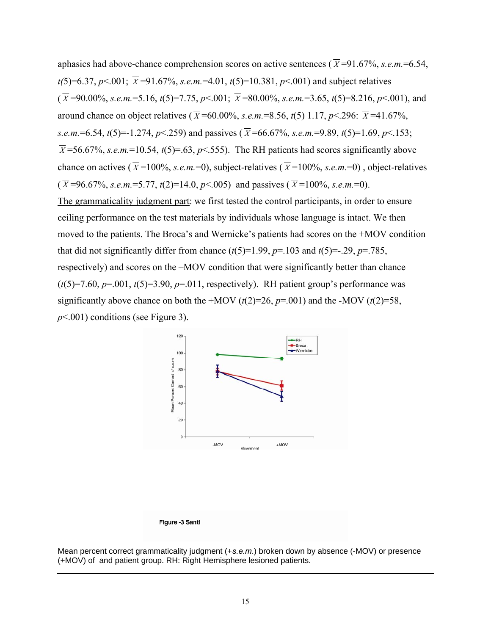aphasics had above-chance comprehension scores on active sentences ( $\overline{X}$ =91.67%, *s.e.m.*=6.54, *t*(5)=6.37, *p*<.001;  $\overline{X}$ =91.67%, *s.e.m.*=4.01, *t*(5)=10.381, *p*<.001) and subject relatives  $(\overline{X} = 90.00\%$ , *s.e.m.* = 5.16, *t*(5)=7.75, *p*<.001;  $\overline{X} = 80.00\%$ , *s.e.m.* = 3.65, *t*(5)=8.216, *p*<.001), and around chance on object relatives ( $\bar{X}$ =60.00%, *s.e.m.*=8.56, *t*(5) 1.17, *p*<.296:  $\bar{X}$ =41.67%, *s.e.m.*=6.54, *t*(5)=-1.274, *p*<.259) and passives ( $\overline{X}$ =66.67%, *s.e.m.*=9.89, *t*(5)=1.69, *p*<.153;  $\overline{X}$ =56.67%, *s.e.m.*=10.54, *t*(5)=.63, *p*<.555). The RH patients had scores significantly above chance on actives ( $\overline{X}$ =100%, *s.e.m.*=0), subject-relatives ( $\overline{X}$ =100%, *s.e.m.*=0), object-relatives  $(\overline{X} = 96.67\%, \text{ s.e. } m = 5.77, \text{ } t(2) = 14.0, \text{ } p < .005)$  and passives  $(\overline{X} = 100\%, \text{ s.e. } m = 0)$ . The grammaticality judgment part: we first tested the control participants, in order to ensure ceiling performance on the test materials by individuals whose language is intact. We then moved to the patients. The Broca's and Wernicke's patients had scores on the +MOV condition that did not significantly differ from chance  $(t(5)=1.99, p=103$  and  $t(5)=-0.29, p=.785,$ respectively) and scores on the –MOV condition that were significantly better than chance  $(t(5)=7.60, p=0.01, t(5)=3.90, p=0.011$ , respectively). RH patient group's performance was significantly above chance on both the  $+$ MOV ( $t(2)=26$ ,  $p=0.01$ ) and the -MOV ( $t(2)=58$ , *p*<.001) conditions (see Figure 3).



Figure -3 Santi

Mean percent correct grammaticality judgment (+*s.e.m*.) broken down by absence (-MOV) or presence (+MOV) of and patient group. RH: Right Hemisphere lesioned patients.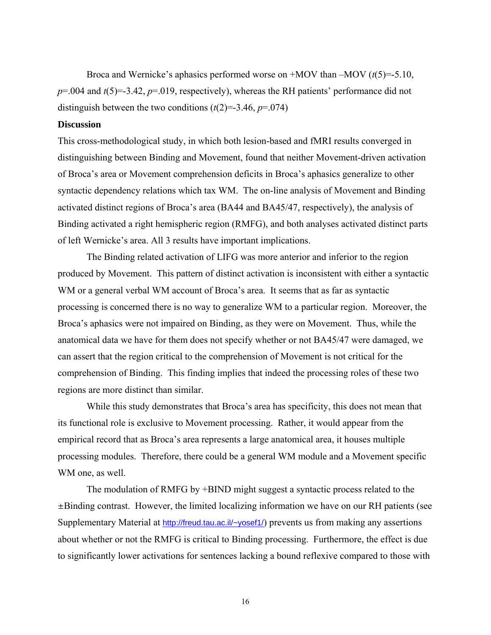Broca and Wernicke's aphasics performed worse on +MOV than –MOV (*t*(5)=-5.10, *p*=.004 and *t*(5)=-3.42, *p*=.019, respectively), whereas the RH patients' performance did not distinguish between the two conditions  $(t(2)=3.46, p=.074)$ 

#### **Discussion**

This cross-methodological study, in which both lesion-based and fMRI results converged in distinguishing between Binding and Movement, found that neither Movement-driven activation of Broca's area or Movement comprehension deficits in Broca's aphasics generalize to other syntactic dependency relations which tax WM. The on-line analysis of Movement and Binding activated distinct regions of Broca's area (BA44 and BA45/47, respectively), the analysis of Binding activated a right hemispheric region (RMFG), and both analyses activated distinct parts of left Wernicke's area. All 3 results have important implications.

The Binding related activation of LIFG was more anterior and inferior to the region produced by Movement. This pattern of distinct activation is inconsistent with either a syntactic WM or a general verbal WM account of Broca's area. It seems that as far as syntactic processing is concerned there is no way to generalize WM to a particular region. Moreover, the Broca's aphasics were not impaired on Binding, as they were on Movement. Thus, while the anatomical data we have for them does not specify whether or not BA45/47 were damaged, we can assert that the region critical to the comprehension of Movement is not critical for the comprehension of Binding. This finding implies that indeed the processing roles of these two regions are more distinct than similar.

While this study demonstrates that Broca's area has specificity, this does not mean that its functional role is exclusive to Movement processing. Rather, it would appear from the empirical record that as Broca's area represents a large anatomical area, it houses multiple processing modules. Therefore, there could be a general WM module and a Movement specific WM one, as well.

 The modulation of RMFG by +BIND might suggest a syntactic process related to the ≤Binding contrast. However, the limited localizing information we have on our RH patients (see Supplementary Material at http://freud.tau.ac.il/~yosef1/) prevents us from making any assertions about whether or not the RMFG is critical to Binding processing. Furthermore, the effect is due to significantly lower activations for sentences lacking a bound reflexive compared to those with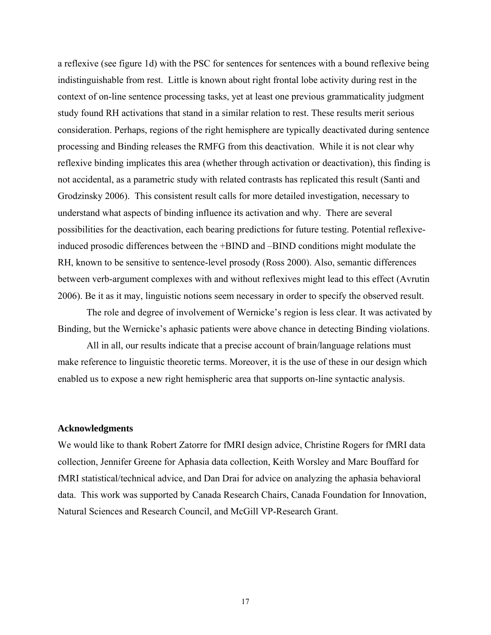a reflexive (see figure 1d) with the PSC for sentences for sentences with a bound reflexive being indistinguishable from rest. Little is known about right frontal lobe activity during rest in the context of on-line sentence processing tasks, yet at least one previous grammaticality judgment study found RH activations that stand in a similar relation to rest. These results merit serious consideration. Perhaps, regions of the right hemisphere are typically deactivated during sentence processing and Binding releases the RMFG from this deactivation. While it is not clear why reflexive binding implicates this area (whether through activation or deactivation), this finding is not accidental, as a parametric study with related contrasts has replicated this result (Santi and Grodzinsky 2006). This consistent result calls for more detailed investigation, necessary to understand what aspects of binding influence its activation and why. There are several possibilities for the deactivation, each bearing predictions for future testing. Potential reflexiveinduced prosodic differences between the +BIND and –BIND conditions might modulate the RH, known to be sensitive to sentence-level prosody (Ross 2000). Also, semantic differences between verb-argument complexes with and without reflexives might lead to this effect (Avrutin 2006). Be it as it may, linguistic notions seem necessary in order to specify the observed result.

 The role and degree of involvement of Wernicke's region is less clear. It was activated by Binding, but the Wernicke's aphasic patients were above chance in detecting Binding violations.

 All in all, our results indicate that a precise account of brain/language relations must make reference to linguistic theoretic terms. Moreover, it is the use of these in our design which enabled us to expose a new right hemispheric area that supports on-line syntactic analysis.

## **Acknowledgments**

We would like to thank Robert Zatorre for fMRI design advice, Christine Rogers for fMRI data collection, Jennifer Greene for Aphasia data collection, Keith Worsley and Marc Bouffard for fMRI statistical/technical advice, and Dan Drai for advice on analyzing the aphasia behavioral data. This work was supported by Canada Research Chairs, Canada Foundation for Innovation, Natural Sciences and Research Council, and McGill VP-Research Grant.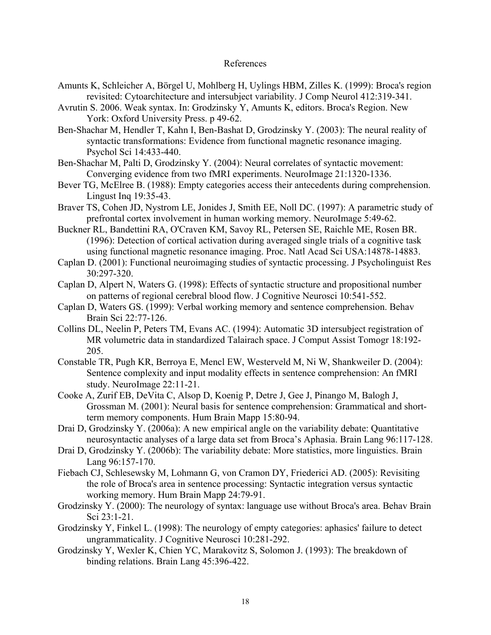### References

- Amunts K, Schleicher A, Börgel U, Mohlberg H, Uylings HBM, Zilles K. (1999): Broca's region revisited: Cytoarchitecture and intersubject variability. J Comp Neurol 412:319-341.
- Avrutin S. 2006. Weak syntax. In: Grodzinsky Y, Amunts K, editors. Broca's Region. New York: Oxford University Press. p 49-62.
- Ben-Shachar M, Hendler T, Kahn I, Ben-Bashat D, Grodzinsky Y. (2003): The neural reality of syntactic transformations: Evidence from functional magnetic resonance imaging. Psychol Sci 14:433-440.
- Ben-Shachar M, Palti D, Grodzinsky Y. (2004): Neural correlates of syntactic movement: Converging evidence from two fMRI experiments. NeuroImage 21:1320-1336.
- Bever TG, McElree B. (1988): Empty categories access their antecedents during comprehension. Lingust Inq 19:35-43.
- Braver TS, Cohen JD, Nystrom LE, Jonides J, Smith EE, Noll DC. (1997): A parametric study of prefrontal cortex involvement in human working memory. NeuroImage 5:49-62.
- Buckner RL, Bandettini RA, O'Craven KM, Savoy RL, Petersen SE, Raichle ME, Rosen BR. (1996): Detection of cortical activation during averaged single trials of a cognitive task using functional magnetic resonance imaging. Proc. Natl Acad Sci USA:14878-14883.
- Caplan D. (2001): Functional neuroimaging studies of syntactic processing. J Psycholinguist Res 30:297-320.
- Caplan D, Alpert N, Waters G. (1998): Effects of syntactic structure and propositional number on patterns of regional cerebral blood flow. J Cognitive Neurosci 10:541-552.
- Caplan D, Waters GS. (1999): Verbal working memory and sentence comprehension. Behav Brain Sci 22:77-126.
- Collins DL, Neelin P, Peters TM, Evans AC. (1994): Automatic 3D intersubject registration of MR volumetric data in standardized Talairach space. J Comput Assist Tomogr 18:192- 205.
- Constable TR, Pugh KR, Berroya E, Mencl EW, Westerveld M, Ni W, Shankweiler D. (2004): Sentence complexity and input modality effects in sentence comprehension: An fMRI study. NeuroImage 22:11-21.
- Cooke A, Zurif EB, DeVita C, Alsop D, Koenig P, Detre J, Gee J, Pinango M, Balogh J, Grossman M. (2001): Neural basis for sentence comprehension: Grammatical and shortterm memory components. Hum Brain Mapp 15:80-94.
- Drai D, Grodzinsky Y. (2006a): A new empirical angle on the variability debate: Quantitative neurosyntactic analyses of a large data set from Broca's Aphasia. Brain Lang 96:117-128.
- Drai D, Grodzinsky Y. (2006b): The variability debate: More statistics, more linguistics. Brain Lang 96:157-170.
- Fiebach CJ, Schlesewsky M, Lohmann G, von Cramon DY, Friederici AD. (2005): Revisiting the role of Broca's area in sentence processing: Syntactic integration versus syntactic working memory. Hum Brain Mapp 24:79-91.
- Grodzinsky Y. (2000): The neurology of syntax: language use without Broca's area. Behav Brain Sci 23:1-21.
- Grodzinsky Y, Finkel L. (1998): The neurology of empty categories: aphasics' failure to detect ungrammaticality. J Cognitive Neurosci 10:281-292.
- Grodzinsky Y, Wexler K, Chien YC, Marakovitz S, Solomon J. (1993): The breakdown of binding relations. Brain Lang 45:396-422.